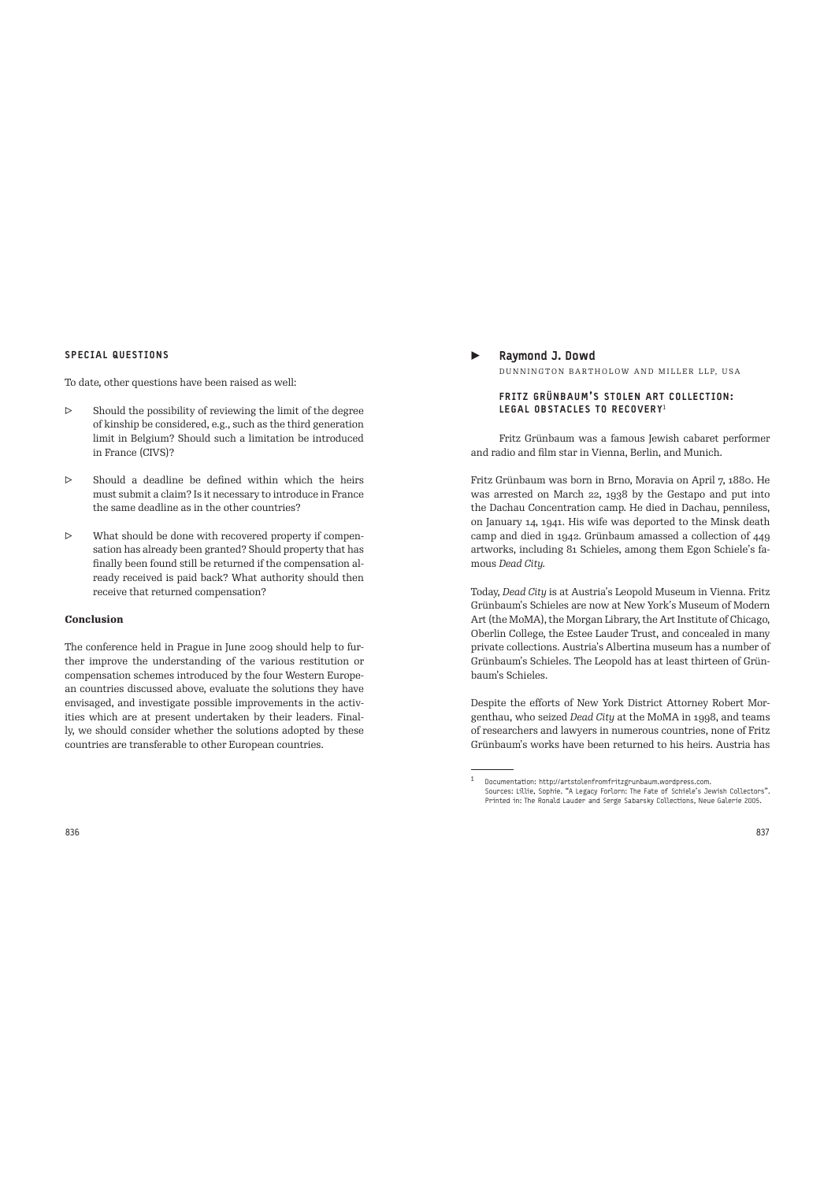#### SPECIAL QUESTIONS

To date, other questions have been raised as well:

- $\triangleright$  Should the possibility of reviewing the limit of the degree of kinship be considered, e.g., such as the third generation limit in Belgium? Should such a limitation be introduced in France (CIVS)?
- ▷ Should a deadline be defined within which the heirs must submit a claim? Is it necessary to introduce in France the same deadline as in the other countries?
- ▷ What should be done with recovered property if compensation has already been granted? Should property that has finally been found still be returned if the compensation already received is paid back? What authority should then receive that returned compensation?

### **Conclusion**

The conference held in Prague in June 2009 should help to further improve the understanding of the various restitution or compensation schemes introduced by the four Western European countries discussed above, evaluate the solutions they have envisaged, and investigate possible improvements in the activities which are at present undertaken by their leaders. Finally, we should consider whether the solutions adopted by these countries are transferable to other European countries.

Raymond J. Dowd DUNNINGTON BARTHOLOW AND MILLER LLP, USA

### FRITZ GRÜNBAUM'S STOLEN ART COLLECTION: LEGAL OBSTACLES TO RECOVERY<sup>1</sup>

Fritz Grünbaum was a famous Jewish cabaret performer and radio and film star in Vienna, Berlin, and Munich.

Fritz Grünbaum was born in Brno, Moravia on April 7, 1880. He was arrested on March 22, 1938 by the Gestapo and put into the Dachau Concentration camp. He died in Dachau, penniless, on January 14, 1941. His wife was deported to the Minsk death camp and died in 1942. Grünbaum amassed a collection of 449 artworks, including 81 Schieles, among them Egon Schiele's famous *Dead City.*

Today, *Dead City* is at Austria's Leopold Museum in Vienna. Fritz Grünbaum's Schieles are now at New York's Museum of Modern Art (the MoMA), the Morgan Library, the Art Institute of Chicago, Oberlin College, the Estee Lauder Trust, and concealed in many private collections. Austria's Albertina museum has a number of Grünbaum's Schieles. The Leopold has at least thirteen of Grünbaum's Schieles.

Despite the efforts of New York District Attorney Robert Morgenthau, who seized *Dead City* at the MoMA in 1998, and teams of researchers and lawyers in numerous countries, none of Fritz Grünbaum's works have been returned to his heirs. Austria has

<sup>1</sup>Documentation: http://artstolenfromfritzgrunbaum.wordpress.com. Sources: Lillie, Sophie. "A Legacy Forlorn: The Fate of Schiele's Jewish Collectors". Printed in: The Ronald Lauder and Serge Sabarsky Collections, Neue Galerie 2005.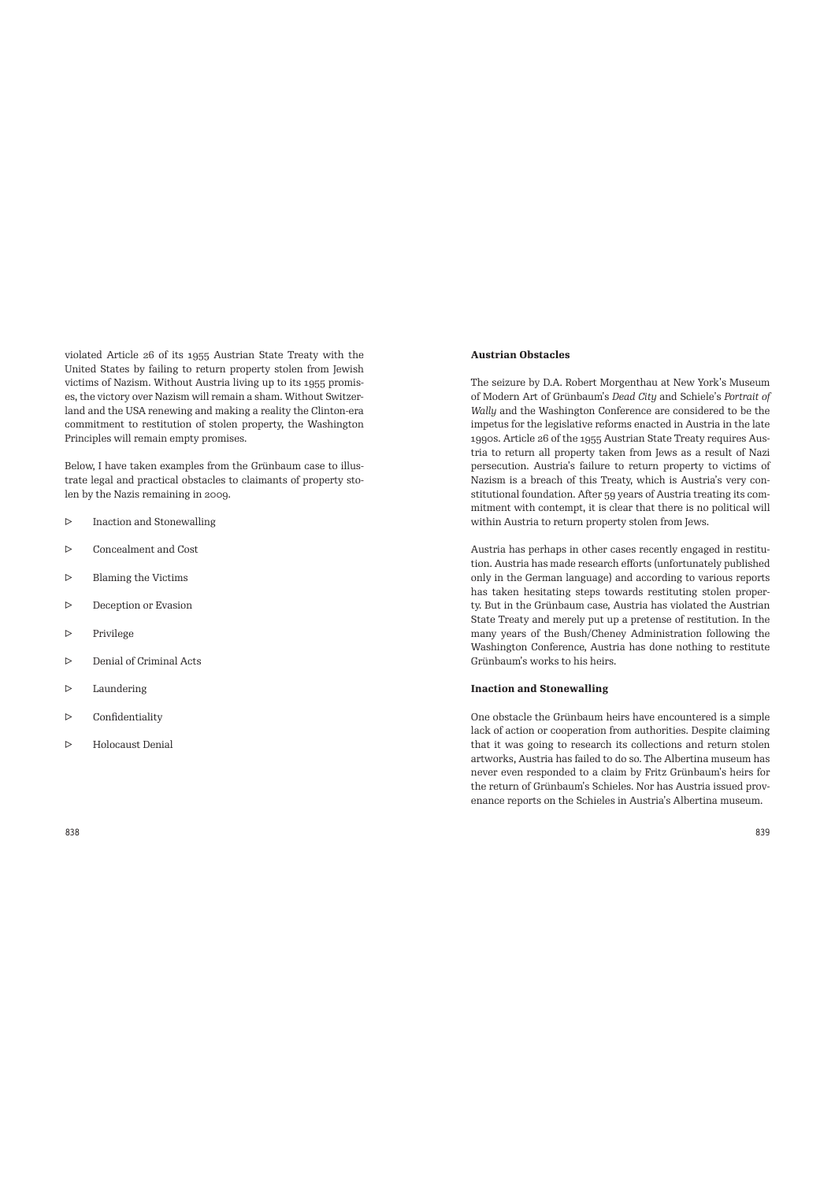violated Article 26 of its 1955 Austrian State Treaty with the United States by failing to return property stolen from Jewish victims of Nazism. Without Austria living up to its 1955 promises, the victory over Nazism will remain a sham. Without Switzerland and the USA renewing and making a reality the Clinton-era commitment to restitution of stolen property, the Washington Principles will remain empty promises.

Below, I have taken examples from the Grünbaum case to illustrate legal and practical obstacles to claimants of property stolen by the Nazis remaining in 2009.

- ▷ Inaction and Stonewalling
- ▷ Concealment and Cost
- ▷ Blaming the Victims
- ▷ Deception or Evasion
- ▷ Privilege
- ▷ Denial of Criminal Acts
- ▷ Laundering
- ▷ Confidentiality
- ▷ Holocaust Denial

## **Austrian Obstacles**

The seizure by D.A. Robert Morgenthau at New York's Museum of Modern Art of Grünbaum's *Dead City* and Schiele's *Portrait of Wally* and the Washington Conference are considered to be the impetus for the legislative reforms enacted in Austria in the late 1990s. Article 26 of the 1955 Austrian State Treaty requires Austria to return all property taken from Jews as a result of Nazi persecution. Austria's failure to return property to victims of Nazism is a breach of this Treaty, which is Austria's very constitutional foundation. After 59 years of Austria treating its commitment with contempt, it is clear that there is no political will within Austria to return property stolen from Jews.

Austria has perhaps in other cases recently engaged in restitution. Austria has made research efforts (unfortunately published only in the German language) and according to various reports has taken hesitating steps towards restituting stolen property. But in the Grünbaum case, Austria has violated the Austrian State Treaty and merely put up a pretense of restitution. In the many years of the Bush/Cheney Administration following the Washington Conference, Austria has done nothing to restitute Grünbaum's works to his heirs.

#### **Inaction and Stonewalling**

One obstacle the Grünbaum heirs have encountered is a simple lack of action or cooperation from authorities. Despite claiming that it was going to research its collections and return stolen artworks, Austria has failed to do so. The Albertina museum has never even responded to a claim by Fritz Grünbaum's heirs for the return of Grünbaum's Schieles. Nor has Austria issued provenance reports on the Schieles in Austria's Albertina museum.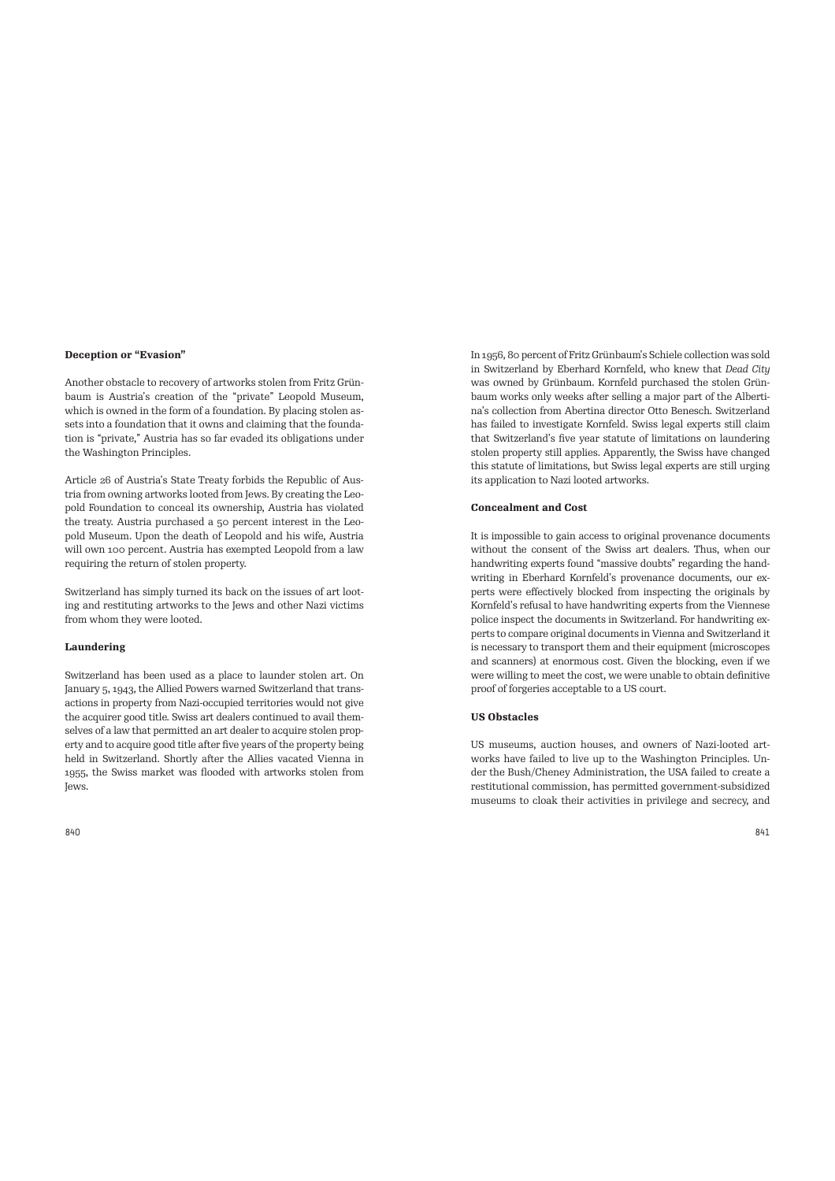#### **Deception or "Evasion"**

Another obstacle to recovery of artworks stolen from Fritz Grünbaum is Austria's creation of the "private" Leopold Museum, which is owned in the form of a foundation. By placing stolen assets into a foundation that it owns and claiming that the foundation is "private," Austria has so far evaded its obligations under the Washington Principles.

Article 26 of Austria's State Treaty forbids the Republic of Austria from owning artworks looted from Jews. By creating the Leopold Foundation to conceal its ownership, Austria has violated the treaty. Austria purchased a 50 percent interest in the Leopold Museum. Upon the death of Leopold and his wife, Austria will own 100 percent. Austria has exempted Leopold from a law requiring the return of stolen property.

Switzerland has simply turned its back on the issues of art looting and restituting artworks to the Jews and other Nazi victims from whom they were looted.

#### **Laundering**

Switzerland has been used as a place to launder stolen art. On January 5, 1943, the Allied Powers warned Switzerland that transactions in property from Nazi-occupied territories would not give the acquirer good title. Swiss art dealers continued to avail themselves of a law that permitted an art dealer to acquire stolen property and to acquire good title after five years of the property being held in Switzerland. Shortly after the Allies vacated Vienna in 1955, the Swiss market was flooded with artworks stolen from Jews.

In 1956, 80 percent of Fritz Grünbaum's Schiele collection was sold in Switzerland by Eberhard Kornfeld, who knew that *Dead City* was owned by Grünbaum. Kornfeld purchased the stolen Grünbaum works only weeks after selling a major part of the Albertina's collection from Abertina director Otto Benesch. Switzerland has failed to investigate Kornfeld. Swiss legal experts still claim that Switzerland's five year statute of limitations on laundering stolen property still applies. Apparently, the Swiss have changed this statute of limitations, but Swiss legal experts are still urging its application to Nazi looted artworks.

### **Concealment and Cost**

It is impossible to gain access to original provenance documents without the consent of the Swiss art dealers. Thus, when our handwriting experts found "massive doubts" regarding the handwriting in Eberhard Kornfeld's provenance documents, our experts were effectively blocked from inspecting the originals by Kornfeld's refusal to have handwriting experts from the Viennese police inspect the documents in Switzerland. For handwriting experts to compare original documents in Vienna and Switzerland it is necessary to transport them and their equipment (microscopes and scanners) at enormous cost. Given the blocking, even if we were willing to meet the cost, we were unable to obtain definitive proof of forgeries acceptable to a US court.

# **US Obstacles**

US museums, auction houses, and owners of Nazi-looted artworks have failed to live up to the Washington Principles. Under the Bush/Cheney Administration, the USA failed to create a restitutional commission, has permitted government-subsidized museums to cloak their activities in privilege and secrecy, and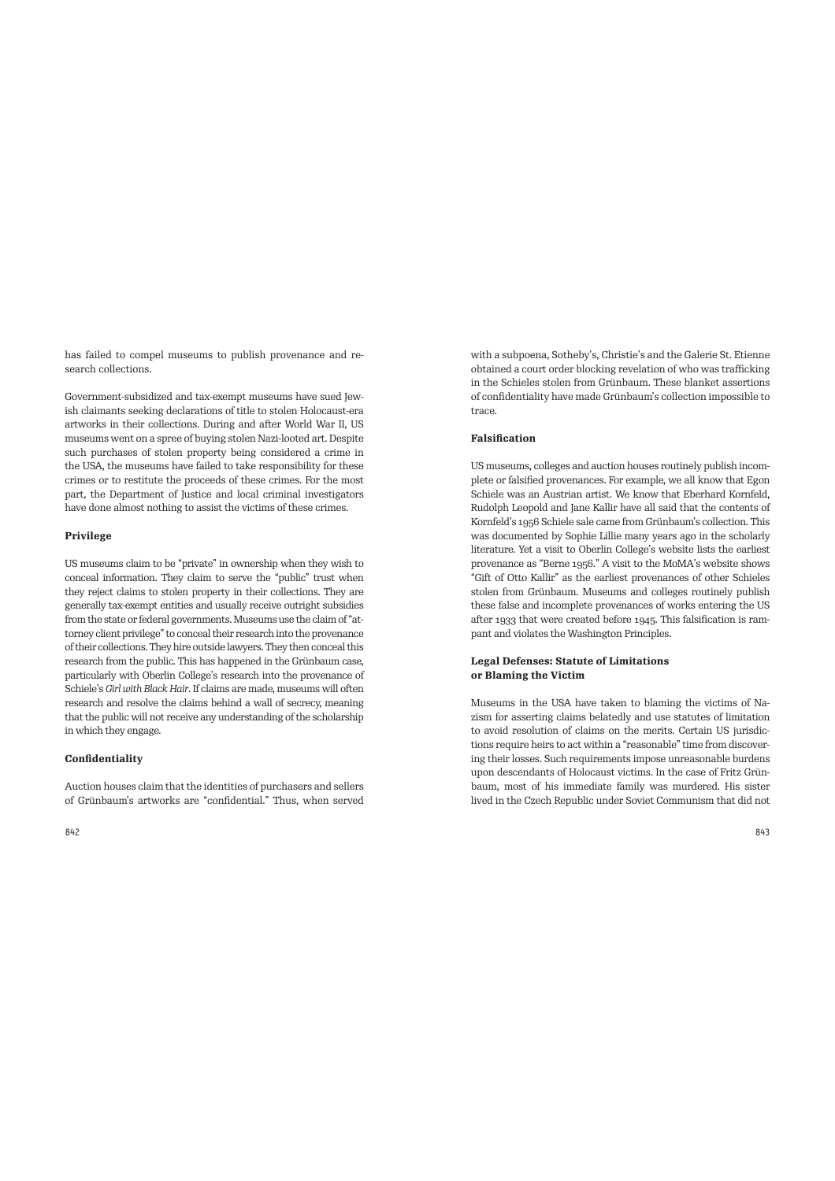has failed to compel museums to publish provenance and research collections.

Government-subsidized and tax-exempt museums have sued Jewish claimants seeking declarations of title to stolen Holocaust-era artworks in their collections. During and after World War II, US museums went on a spree of buying stolen Nazi-looted art. Despite such purchases of stolen property being considered a crime in the USA, the museums have failed to take responsibility for these crimes or to restitute the proceeds of these crimes. For the most part, the Department of Justice and local criminal investigators have done almost nothing to assist the victims of these crimes.

# **Privilege**

US museums claim to be "private" in ownership when they wish to conceal information. They claim to serve the "public" trust when they reject claims to stolen property in their collections. They are generally tax-exempt entities and usually receive outright subsidies from the state or federal governments. Museums use the claim of "attorney client privilege" to conceal their research into the provenance of their collections. They hire outside lawyers. They then conceal this research from the public. This has happened in the Grünbaum case, particularly with Oberlin College's research into the provenance of Schiele's *Girl with Black Hair*. If claims are made, museums will often research and resolve the claims behind a wall of secrecy, meaning that the public will not receive any understanding of the scholarship in which they engage.

# **Confidentiality**

Auction houses claim that the identities of purchasers and sellers of Grünbaum's artworks are "confidential." Thus, when served with a subpoena, Sotheby's, Christie's and the Galerie St. Etienne obtained a court order blocking revelation of who was trafficking in the Schieles stolen from Grünbaum. These blanket assertions of confidentiality have made Grünbaum's collection impossible to trace.

# **Falsification**

US museums, colleges and auction houses routinely publish incomplete or falsified provenances. For example, we all know that Egon Schiele was an Austrian artist. We know that Eberhard Kornfeld, Rudolph Leopold and Jane Kallir have all said that the contents of Kornfeld's 1956 Schiele sale came from Grünbaum's collection. This was documented by Sophie Lillie many years ago in the scholarly literature. Yet a visit to Oberlin College's website lists the earliest provenance as "Berne 1956." A visit to the MoMA's website shows "Gift of Otto Kallir" as the earliest provenances of other Schieles stolen from Grünbaum. Museums and colleges routinely publish these false and incomplete provenances of works entering the US after 1933 that were created before 1945. This falsification is rampant and violates the Washington Principles.

# **Legal Defenses: Statute of Limitations or Blaming the Victim**

Museums in the USA have taken to blaming the victims of Nazism for asserting claims belatedly and use statutes of limitation to avoid resolution of claims on the merits. Certain US jurisdictions require heirs to act within a "reasonable" time from discovering their losses. Such requirements impose unreasonable burdens upon descendants of Holocaust victims. In the case of Fritz Grünbaum, most of his immediate family was murdered. His sister lived in the Czech Republic under Soviet Communism that did not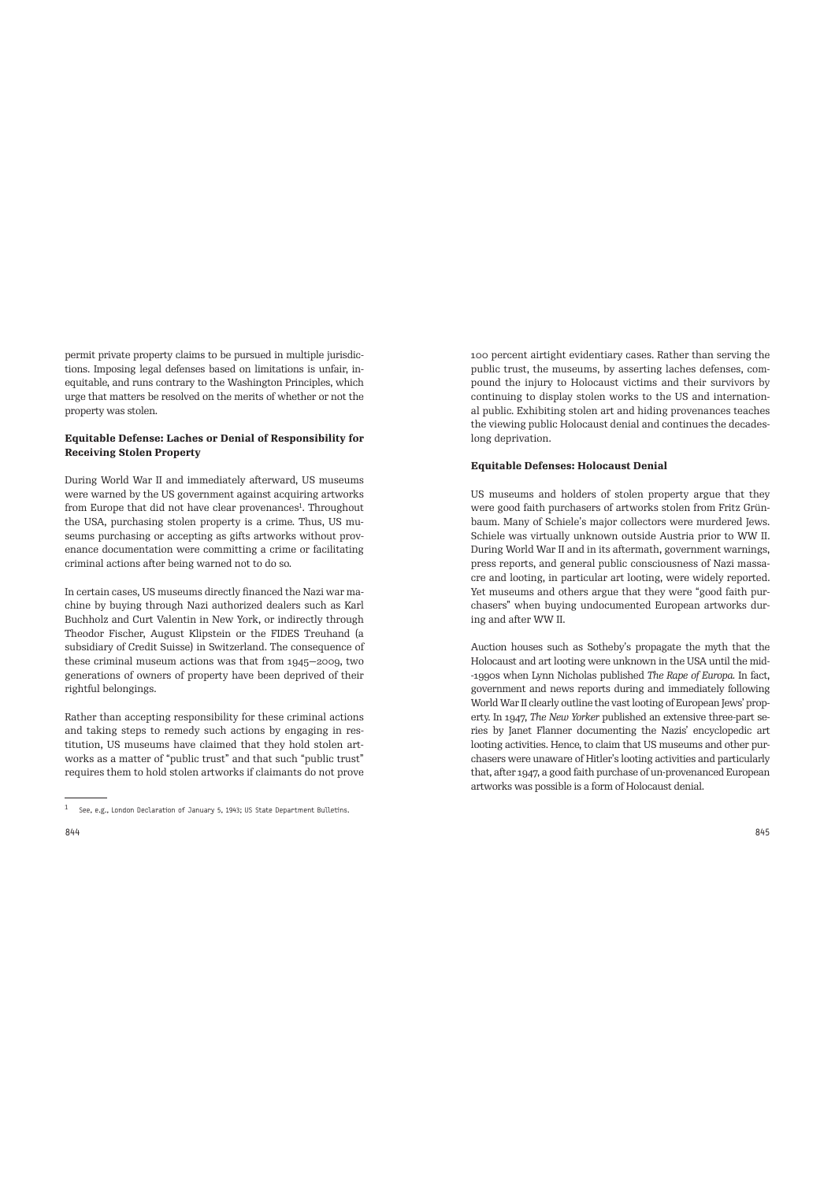permit private property claims to be pursued in multiple jurisdictions. Imposing legal defenses based on limitations is unfair, inequitable, and runs contrary to the Washington Principles, which urge that matters be resolved on the merits of whether or not the property was stolen.

# **Equitable Defense: Laches or Denial of Responsibility for Receiving Stolen Property**

During World War II and immediately afterward, US museums were warned by the US government against acquiring artworks from Europe that did not have clear provenances<sup>1</sup>. Throughout the USA, purchasing stolen property is a crime. Thus, US museums purchasing or accepting as gifts artworks without provenance documentation were committing a crime or facilitating criminal actions after being warned not to do so.

In certain cases, US museums directly financed the Nazi war machine by buying through Nazi authorized dealers such as Karl Buchholz and Curt Valentin in New York, or indirectly through Theodor Fischer, August Klipstein or the FIDES Treuhand (a subsidiary of Credit Suisse) in Switzerland. The consequence of these criminal museum actions was that from 1945—2009, two generations of owners of property have been deprived of their rightful belongings.

Rather than accepting responsibility for these criminal actions and taking steps to remedy such actions by engaging in restitution, US museums have claimed that they hold stolen artworks as a matter of "public trust" and that such "public trust" requires them to hold stolen artworks if claimants do not prove

100 percent airtight evidentiary cases. Rather than serving the public trust, the museums, by asserting laches defenses, compound the injury to Holocaust victims and their survivors by continuing to display stolen works to the US and international public. Exhibiting stolen art and hiding provenances teaches the viewing public Holocaust denial and continues the decadeslong deprivation.

### **Equitable Defenses: Holocaust Denial**

US museums and holders of stolen property argue that they were good faith purchasers of artworks stolen from Fritz Grünbaum. Many of Schiele's major collectors were murdered Jews. Schiele was virtually unknown outside Austria prior to WW II. During World War II and in its aftermath, government warnings, press reports, and general public consciousness of Nazi massacre and looting, in particular art looting, were widely reported. Yet museums and others argue that they were "good faith purchasers" when buying undocumented European artworks during and after WW II.

Auction houses such as Sotheby's propagate the myth that the Holocaust and art looting were unknown in the USA until the mid- -1990s when Lynn Nicholas published *The Rape of Europa.* In fact, government and news reports during and immediately following World War II clearly outline the vast looting of European Jews' property. In 1947, *The New Yorker* published an extensive three-part series by Janet Flanner documenting the Nazis' encyclopedic art looting activities. Hence, to claim that US museums and other purchasers were unaware of Hitler's looting activities and particularly that, after 1947, a good faith purchase of un-provenanced European artworks was possible is a form of Holocaust denial.

<sup>1</sup> See, e.g., London Declaration of January 5, 1943; US State Department Bulletins.